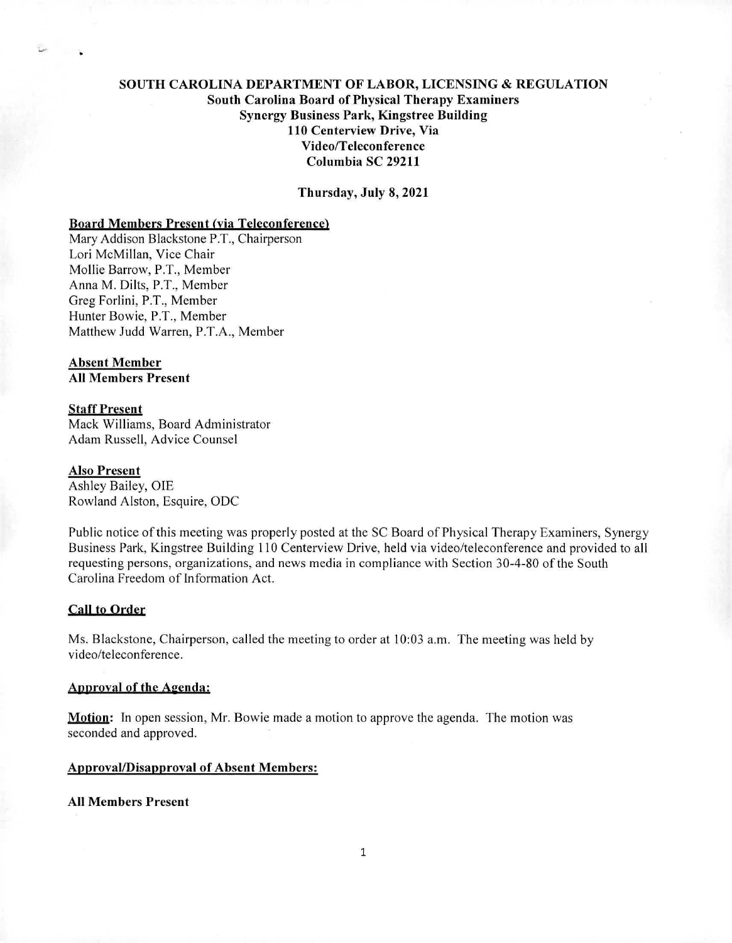# SOUTH CAROLINA DEPARTMENT OF LABOR, LICENSING & REGULATION South Carolina Board of Physical Therapy Examiners Synergy Business Park, Kingstree Building 110 Centerview Drive, Via Video/Teleconference Columbia SC 29211

Thursday, July 8,2021

## Board Members Present (via Teleconferencel

Mary Addison Blackstone P.T., Chairperson Lori McMillan, Vice Chair Mollie Barrow, P.T., Member Anna M. Dilts, P.T., Member Greg Forlini, P.T., Member Hunter Bowie, P.T., Member Matthew Judd Warren, P.T.A., Member

# Absent Member

All Members Present

## Staff Present

Mack Williams, Board Administrator Adam Russell, Advice Counsel

#### Also Present

Ashley Bailey, OIE Rowland Alston, Esquire, ODC

Public notice of this meeting was properly posted at the SC Board of Physical Therapy Examiners, Synergy Business Park, Kingstree Building 110 Centerview Drive, held via video/teleconference and provided to all requesting persons, organizations, and news media in compliance with Section 30-4-80 of the South Carolina Freedom of Information Act.

### **Call to Order**

Ms. Blackstone, Chairperson, called the meeting to order at 10:03 a.m. The meeting was held by video/teleconference.

## Approval of the Agenda:

**Motion:** In open session, Mr. Bowie made a motion to approve the agenda. The motion was seconded and approved.

## Approval/Disapproval of Absent Members:

All Members Present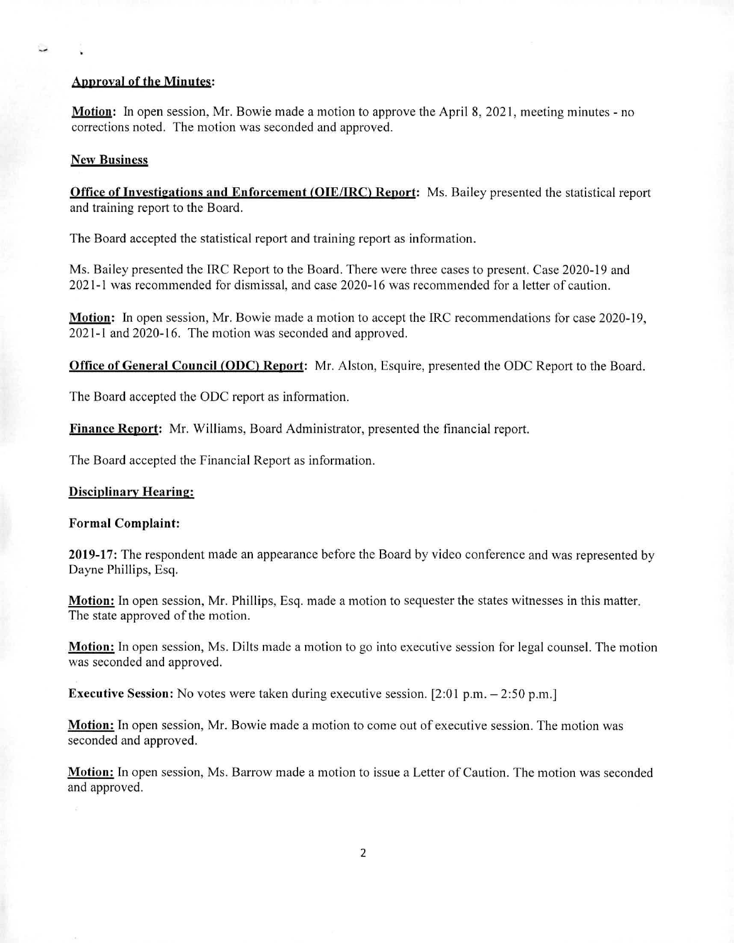### Approval of the Minutes:

Motion: In open session, Mr. Bowie made a motion to approve the April 8, 2021, meeting minutes - no corrections noted. The motion was seconded and approved.

### New **Business**

**Office of Investigations and Enforcement (OIE/IRC) Report:** Ms. Bailey presented the statistical report and training report to the Board.

The Board accepted the statistical report and training report as information.

Ms. Bailey presented the IRC Report to the Board. There were three cases to present. Case 2020-19 and 2021-1 was recommended for dismissal, and case 2020-16 was recommended for a letter of caution.

**Motion:** In open session, Mr. Bowie made a motion to accept the IRC recommendations for case 2020-19, 2021-1 and 2020-16. The motion was seconded and approved.

**Office of General Council (ODC) Report:** Mr. Alston, Esquire, presented the ODC Report to the Board.

The Board accepted the ODC report as information.

Finance Report: Mr. Williams, Board Administrator, presented the financial report.

The Board accepted the Financial Report as information.

## **Disciplinary Hearing:**

#### **Formal Complaint:**

**2019-17:** The respondent made an appearance before the Board by video conference and was represented by Dayne Phillips, Esq.

**Motion:** In open session, Mr. Phillips, Esq. made a motion to sequester the states witnesses in this matter. The state approved of the motion.

**Motion:** In open session, Ms. Dilts made a motion to go into executive session for legal counsel. The motion was seconded and approved.

**Executive Session:** No votes were taken during executive session. [2:01 p.m. – 2:50 p.m.]

**Motion:** In open session, Mr. Bowie made a motion to come out of executive session. The motion was seconded and approved.

**Motion:** In open session, Ms. Barrow made a motion to issue a Letter of Caution. The motion was seconded and approved.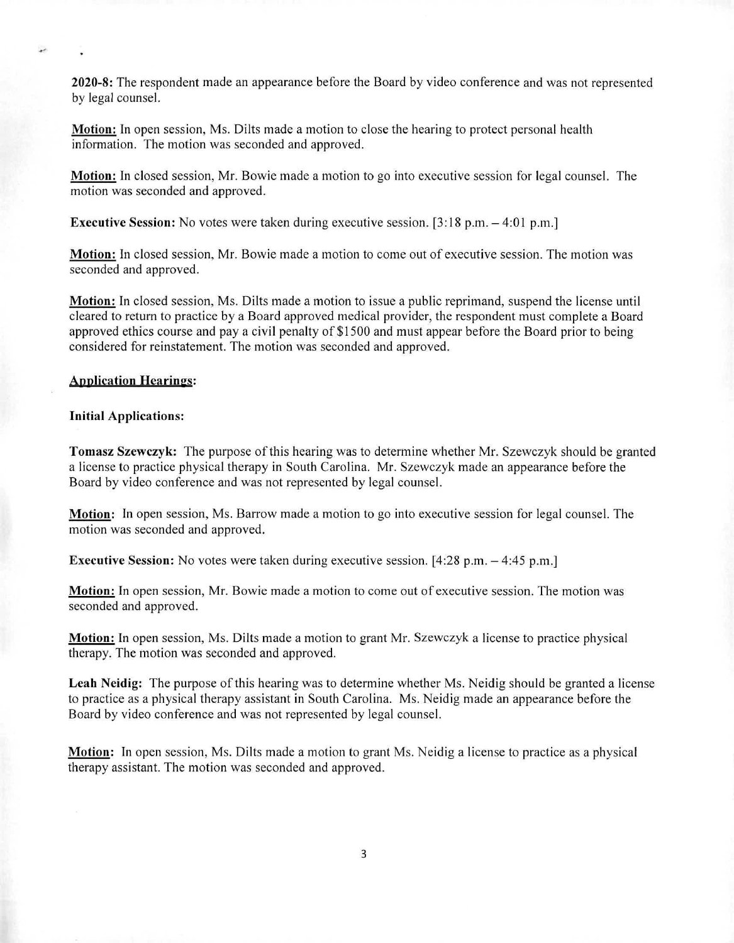**2020-8:** The respondent made an appearance before the Board by video conference and was not represented by legal counsel,

**Motion:** In open session, Ms. Dilts made a motion to close the hearing to protect personal health information. The motion was seconded and approved.

**Motion.** In closed session, Mr. Bowie made a motion to go into executive session for legal counsel. The motion was seconded and approved.

**Executive Session:** No votes were taken during executive session. [3:18 p.m. – 4:01 p.m.]

**Motion:** In closed session, Mr. Bowie made a motion to come out of executive session. The motion was seconded and approved.

**Motion:** In closed session, Ms. Dilts made a motion to issue a public reprimand, suspend the license until cleared to return to practice by a Board approved medical provider, the respondent must complete a Board approved ethics course and pay a civil penalty of \$1500 and must appear before the Board prior to being considered for reinstatement. The motion was seconded and approved.

#### **Application Hearings:**

#### **Initial Applications:**

**Tomasz Szewczyk:** The purpose of this hearing was to determine whether Mr. Szewczyk should be granted a license to practice physical therapy in South Carolina. Mr. Szewczyk made an appearance before the Board by video conference and was not represented by legal counsel.

**Motion:** In open session, Ms. Barrow made a motion to go into executive session for legal counsel. **The**  motion was seconded and approved.

**Executive Session:** No votes were taken during executive session. [4:28 p.m. — 4:45 p.m.]

**Motion:** In open session, Mr. Bowie made a motion to come out of executive session. The motion was seconded and approved.

**Motion:** In open session, Ms. Dilts made a motion to grant Mr. Szewczyk a license to practice physical therapy. The motion was seconded and approved.

**Leah Neidig:** The purpose of this hearing was to determine whether Ms. Neidig should be granted a license to practice as a physical therapy assistant in South Carolina. Ms. Neidig made an appearance before the Board by video conference and was not represented by legal counsel.

**Motion:** In open session, Ms. Dilts made a motion to grant Ms. Neidig a license to practice as a physical therapy assistant. The motion was seconded and approved.